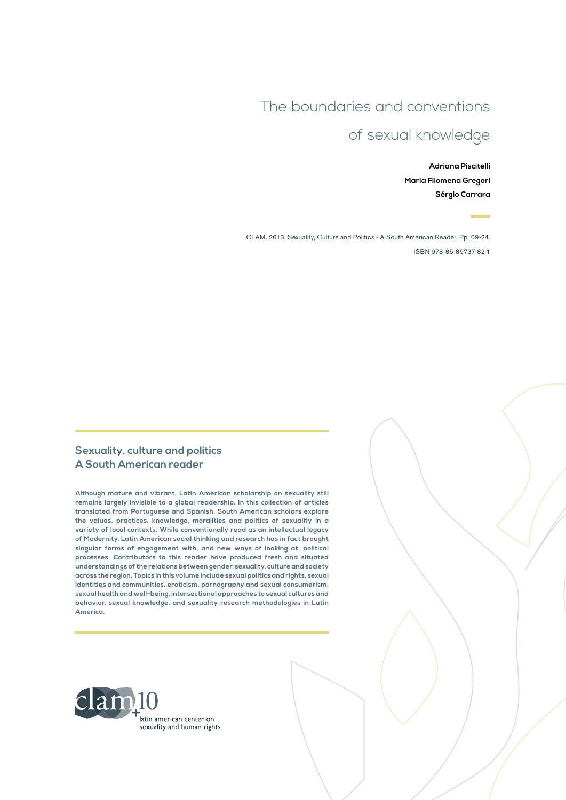## The boundaries and conventions

# of sexual knowledge

**Adriana Piscitelli Maria Filomena Gregori Sérgio Carrara**

CLAM. 2013. Sexuality, Culture and Politics - A South American Reader. Pp. 09-24. ISBN 978-85-89737-82-1

#### **Sexuality, culture and politics A South American reader**

**Although mature and vibrant, Latin American scholarship on sexuality still remains largely invisible to a global readership. In this collection of articles translated from Portuguese and Spanish, South American scholars explore the values, practices, knowledge, moralities and politics of sexuality in a variety of local contexts. While conventionally read as an intellectual legacy of Modernity, Latin American social thinking and research has in fact brought singular forms of engagement with, and new ways of looking at, political processes. Contributors to this reader have produced fresh and situated understandings of the relations between gender, sexuality, culture and society across the region. Topics in this volume include sexual politics and rights, sexual identities and communities, eroticism, pornography and sexual consumerism, sexual health and well-being, intersectional approaches to sexual cultures and behavior, sexual knowledge, and sexuality research methodologies in Latin America.**

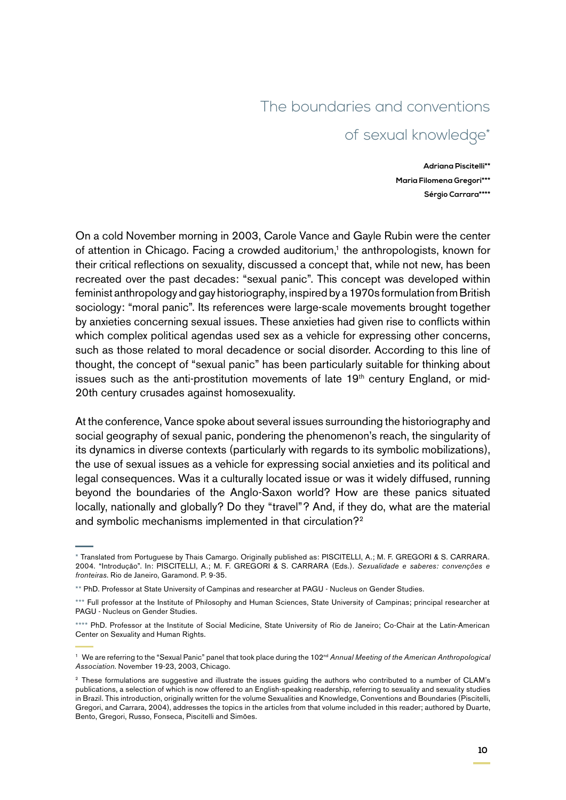#### The boundaries and conventions

### of sexual knowledge\*

**Adriana Piscitelli\*\* Maria Filomena Gregori\*\*\* Sérgio Carrara\*\*\*\***

On a cold November morning in 2003, Carole Vance and Gayle Rubin were the center of attention in Chicago. Facing a crowded auditorium,<sup>1</sup> the anthropologists, known for their critical reflections on sexuality, discussed a concept that, while not new, has been recreated over the past decades: "sexual panic". This concept was developed within feminist anthropology and gay historiography, inspired by a 1970s formulation from British sociology: "moral panic". Its references were large-scale movements brought together by anxieties concerning sexual issues. These anxieties had given rise to conflicts within which complex political agendas used sex as a vehicle for expressing other concerns, such as those related to moral decadence or social disorder. According to this line of thought, the concept of "sexual panic" has been particularly suitable for thinking about issues such as the anti-prostitution movements of late 19<sup>th</sup> century England, or mid-20th century crusades against homosexuality.

At the conference, Vance spoke about several issues surrounding the historiography and social geography of sexual panic, pondering the phenomenon's reach, the singularity of its dynamics in diverse contexts (particularly with regards to its symbolic mobilizations), the use of sexual issues as a vehicle for expressing social anxieties and its political and legal consequences. Was it a culturally located issue or was it widely diffused, running beyond the boundaries of the Anglo-Saxon world? How are these panics situated locally, nationally and globally? Do they "travel"? And, if they do, what are the material and symbolic mechanisms implemented in that circulation?<sup>2</sup>

<sup>\*</sup> Translated from Portuguese by Thais Camargo. Originally published as: PISCITELLI, A.; M. F. GREGORI & S. CARRARA. 2004. "Introdução". In: PISCITELLI, A.; M. F. GREGORI & S. CARRARA (Eds.). *Sexualidade e saberes: convenções e fronteiras*. Rio de Janeiro, Garamond. P. 9-35.

<sup>\*\*</sup> PhD. Professor at State University of Campinas and researcher at PAGU - Nucleus on Gender Studies.

<sup>\*\*\*</sup> Full professor at the Institute of Philosophy and Human Sciences, State University of Campinas; principal researcher at PAGU - Nucleus on Gender Studies.

<sup>\*\*\*\*</sup> PhD. Professor at the Institute of Social Medicine, State University of Rio de Janeiro; Co-Chair at the Latin-American Center on Sexuality and Human Rights.

<sup>&</sup>lt;sup>1</sup> We are referring to the "Sexual Panic" panel that took place during the 102<sup>nd</sup> Annual Meeting of the American Anthropological *Association*. November 19-23, 2003, Chicago.

<sup>&</sup>lt;sup>2</sup> These formulations are suggestive and illustrate the issues guiding the authors who contributed to a number of CLAM's publications, a selection of which is now offered to an English-speaking readership, referring to sexuality and sexuality studies in Brazil. This introduction, originally written for the volume Sexualities and Knowledge, Conventions and Boundaries (Piscitelli, Gregori, and Carrara, 2004), addresses the topics in the articles from that volume included in this reader; authored by Duarte, Bento, Gregori, Russo, Fonseca, Piscitelli and Simões.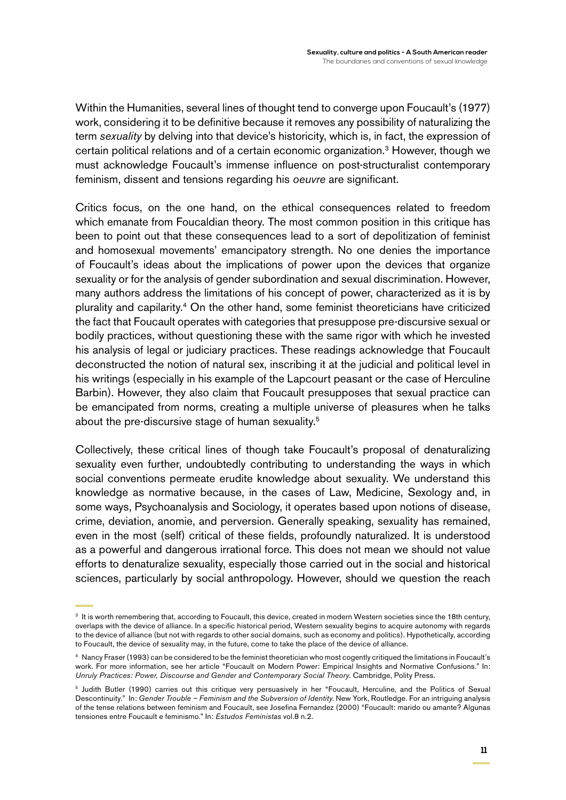Within the Humanities, several lines of thought tend to converge upon Foucault's (1977) work, considering it to be definitive because it removes any possibility of naturalizing the term *sexuality* by delving into that device's historicity, which is, in fact, the expression of certain political relations and of a certain economic organization.<sup>3</sup> However, though we must acknowledge Foucault's immense influence on post-structuralist contemporary feminism, dissent and tensions regarding his *oeuvre* are significant.

Critics focus, on the one hand, on the ethical consequences related to freedom which emanate from Foucaldian theory. The most common position in this critique has been to point out that these consequences lead to a sort of depolitization of feminist and homosexual movements' emancipatory strength. No one denies the importance of Foucault's ideas about the implications of power upon the devices that organize sexuality or for the analysis of gender subordination and sexual discrimination. However, many authors address the limitations of his concept of power, characterized as it is by plurality and capilarity.4 On the other hand, some feminist theoreticians have criticized the fact that Foucault operates with categories that presuppose pre-discursive sexual or bodily practices, without questioning these with the same rigor with which he invested his analysis of legal or judiciary practices. These readings acknowledge that Foucault deconstructed the notion of natural sex, inscribing it at the judicial and political level in his writings (especially in his example of the Lapcourt peasant or the case of Herculine Barbin). However, they also claim that Foucault presupposes that sexual practice can be emancipated from norms, creating a multiple universe of pleasures when he talks about the pre-discursive stage of human sexuality.<sup>5</sup>

Collectively, these critical lines of though take Foucault's proposal of denaturalizing sexuality even further, undoubtedly contributing to understanding the ways in which social conventions permeate erudite knowledge about sexuality. We understand this knowledge as normative because, in the cases of Law, Medicine, Sexology and, in some ways, Psychoanalysis and Sociology, it operates based upon notions of disease, crime, deviation, anomie, and perversion. Generally speaking, sexuality has remained, even in the most (self) critical of these fields, profoundly naturalized. It is understood as a powerful and dangerous irrational force. This does not mean we should not value efforts to denaturalize sexuality, especially those carried out in the social and historical sciences, particularly by social anthropology. However, should we question the reach

<sup>&</sup>lt;sup>3</sup> It is worth remembering that, according to Foucault, this device, created in modern Western societies since the 18th century, overlaps with the device of alliance. In a specific historical period, Western sexuality begins to acquire autonomy with regards to the device of alliance (but not with regards to other social domains, such as economy and politics). Hypothetically, according to Foucault, the device of sexuality may, in the future, come to take the place of the device of alliance.

<sup>4</sup> Nancy Fraser (1993) can be considered to be the feminist theoretician who most cogently critiqued the limitations in Foucault's work. For more information, see her article "Foucault on Modern Power: Empirical Insights and Normative Confusions." In: *Unruly Practices: Power, Discourse and Gender and Contemporary Social Theory.* Cambridge, Polity Press.

<sup>5</sup> Judith Butler (1990) carries out this critique very persuasively in her "Foucault, Herculine, and the Politics of Sexual Descontinuity." In: *Gender Trouble – Feminism and the Subversion of Identity*. New York, Routledge. For an intriguing analysis of the tense relations between feminism and Foucault, see Josefina Fernandez (2000) "Foucault: marido ou amante? Algunas tensiones entre Foucault e feminismo." In: *Estudos Feministas* vol.8 n.2.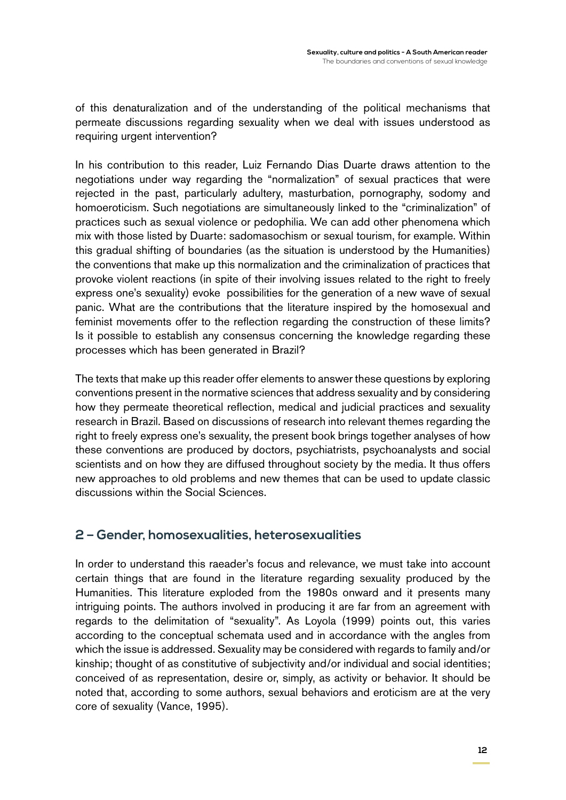of this denaturalization and of the understanding of the political mechanisms that permeate discussions regarding sexuality when we deal with issues understood as requiring urgent intervention?

In his contribution to this reader, Luiz Fernando Dias Duarte draws attention to the negotiations under way regarding the "normalization" of sexual practices that were rejected in the past, particularly adultery, masturbation, pornography, sodomy and homoeroticism. Such negotiations are simultaneously linked to the "criminalization" of practices such as sexual violence or pedophilia. We can add other phenomena which mix with those listed by Duarte: sadomasochism or sexual tourism, for example. Within this gradual shifting of boundaries (as the situation is understood by the Humanities) the conventions that make up this normalization and the criminalization of practices that provoke violent reactions (in spite of their involving issues related to the right to freely express one's sexuality) evoke possibilities for the generation of a new wave of sexual panic. What are the contributions that the literature inspired by the homosexual and feminist movements offer to the reflection regarding the construction of these limits? Is it possible to establish any consensus concerning the knowledge regarding these processes which has been generated in Brazil?

The texts that make up this reader offer elements to answer these questions by exploring conventions present in the normative sciences that address sexuality and by considering how they permeate theoretical reflection, medical and judicial practices and sexuality research in Brazil. Based on discussions of research into relevant themes regarding the right to freely express one's sexuality, the present book brings together analyses of how these conventions are produced by doctors, psychiatrists, psychoanalysts and social scientists and on how they are diffused throughout society by the media. It thus offers new approaches to old problems and new themes that can be used to update classic discussions within the Social Sciences.

#### **2 – Gender, homosexualities, heterosexualities**

In order to understand this raeader's focus and relevance, we must take into account certain things that are found in the literature regarding sexuality produced by the Humanities. This literature exploded from the 1980s onward and it presents many intriguing points. The authors involved in producing it are far from an agreement with regards to the delimitation of "sexuality". As Loyola (1999) points out, this varies according to the conceptual schemata used and in accordance with the angles from which the issue is addressed. Sexuality may be considered with regards to family and/or kinship; thought of as constitutive of subjectivity and/or individual and social identities; conceived of as representation, desire or, simply, as activity or behavior. It should be noted that, according to some authors, sexual behaviors and eroticism are at the very core of sexuality (Vance, 1995).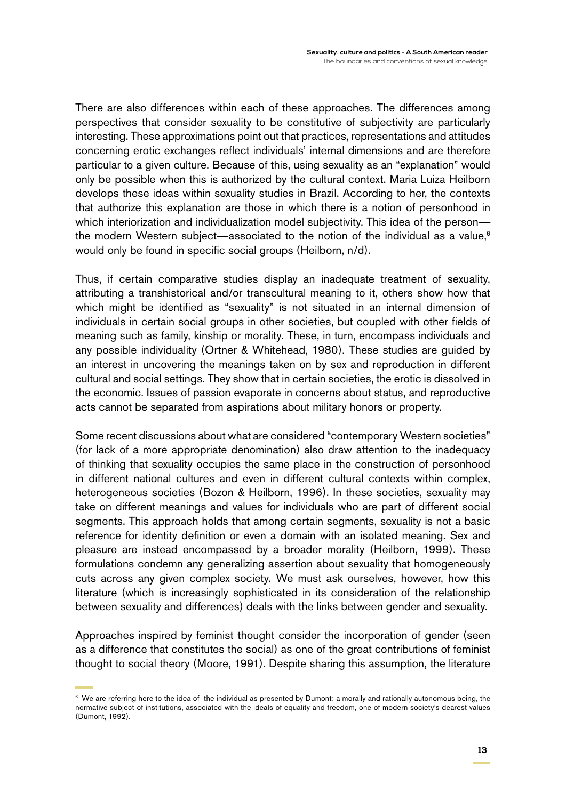There are also differences within each of these approaches. The differences among perspectives that consider sexuality to be constitutive of subjectivity are particularly interesting. These approximations point out that practices, representations and attitudes concerning erotic exchanges reflect individuals' internal dimensions and are therefore particular to a given culture. Because of this, using sexuality as an "explanation" would only be possible when this is authorized by the cultural context. Maria Luiza Heilborn develops these ideas within sexuality studies in Brazil. According to her, the contexts that authorize this explanation are those in which there is a notion of personhood in which interiorization and individualization model subjectivity. This idea of the person the modern Western subject—associated to the notion of the individual as a value, $6$ would only be found in specific social groups (Heilborn, n/d).

Thus, if certain comparative studies display an inadequate treatment of sexuality, attributing a transhistorical and/or transcultural meaning to it, others show how that which might be identified as "sexuality" is not situated in an internal dimension of individuals in certain social groups in other societies, but coupled with other fields of meaning such as family, kinship or morality. These, in turn, encompass individuals and any possible individuality (Ortner & Whitehead, 1980). These studies are guided by an interest in uncovering the meanings taken on by sex and reproduction in different cultural and social settings. They show that in certain societies, the erotic is dissolved in the economic. Issues of passion evaporate in concerns about status, and reproductive acts cannot be separated from aspirations about military honors or property.

Some recent discussions about what are considered "contemporary Western societies" (for lack of a more appropriate denomination) also draw attention to the inadequacy of thinking that sexuality occupies the same place in the construction of personhood in different national cultures and even in different cultural contexts within complex, heterogeneous societies (Bozon & Heilborn, 1996). In these societies, sexuality may take on different meanings and values for individuals who are part of different social segments. This approach holds that among certain segments, sexuality is not a basic reference for identity definition or even a domain with an isolated meaning. Sex and pleasure are instead encompassed by a broader morality (Heilborn, 1999). These formulations condemn any generalizing assertion about sexuality that homogeneously cuts across any given complex society. We must ask ourselves, however, how this literature (which is increasingly sophisticated in its consideration of the relationship between sexuality and differences) deals with the links between gender and sexuality.

Approaches inspired by feminist thought consider the incorporation of gender (seen as a difference that constitutes the social) as one of the great contributions of feminist thought to social theory (Moore, 1991). Despite sharing this assumption, the literature

<sup>&</sup>lt;sup>6</sup> We are referring here to the idea of the individual as presented by Dumont: a morally and rationally autonomous being, the normative subject of institutions, associated with the ideals of equality and freedom, one of modern society's dearest values (Dumont, 1992).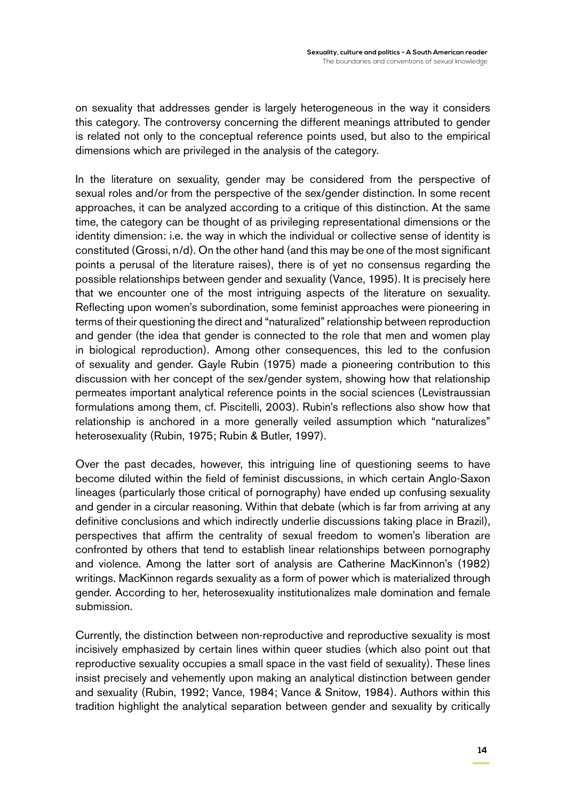on sexuality that addresses gender is largely heterogeneous in the way it considers this category. The controversy concerning the different meanings attributed to gender is related not only to the conceptual reference points used, but also to the empirical dimensions which are privileged in the analysis of the category.

In the literature on sexuality, gender may be considered from the perspective of sexual roles and/or from the perspective of the sex/gender distinction. In some recent approaches, it can be analyzed according to a critique of this distinction. At the same time, the category can be thought of as privileging representational dimensions or the identity dimension: i.e. the way in which the individual or collective sense of identity is constituted (Grossi, n/d). On the other hand (and this may be one of the most significant points a perusal of the literature raises), there is of yet no consensus regarding the possible relationships between gender and sexuality (Vance, 1995). It is precisely here that we encounter one of the most intriguing aspects of the literature on sexuality. Reflecting upon women's subordination, some feminist approaches were pioneering in terms of their questioning the direct and "naturalized" relationship between reproduction and gender (the idea that gender is connected to the role that men and women play in biological reproduction). Among other consequences, this led to the confusion of sexuality and gender. Gayle Rubin (1975) made a pioneering contribution to this discussion with her concept of the sex/gender system, showing how that relationship permeates important analytical reference points in the social sciences (Levistraussian formulations among them, cf. Piscitelli, 2003). Rubin's reflections also show how that relationship is anchored in a more generally veiled assumption which "naturalizes" heterosexuality (Rubin, 1975; Rubin & Butler, 1997).

Over the past decades, however, this intriguing line of questioning seems to have become diluted within the field of feminist discussions, in which certain Anglo-Saxon lineages (particularly those critical of pornography) have ended up confusing sexuality and gender in a circular reasoning. Within that debate (which is far from arriving at any definitive conclusions and which indirectly underlie discussions taking place in Brazil), perspectives that affirm the centrality of sexual freedom to women's liberation are confronted by others that tend to establish linear relationships between pornography and violence. Among the latter sort of analysis are Catherine MacKinnon's (1982) writings. MacKinnon regards sexuality as a form of power which is materialized through gender. According to her, heterosexuality institutionalizes male domination and female submission.

Currently, the distinction between non-reproductive and reproductive sexuality is most incisively emphasized by certain lines within queer studies (which also point out that reproductive sexuality occupies a small space in the vast field of sexuality). These lines insist precisely and vehemently upon making an analytical distinction between gender and sexuality (Rubin, 1992; Vance, 1984; Vance & Snitow, 1984). Authors within this tradition highlight the analytical separation between gender and sexuality by critically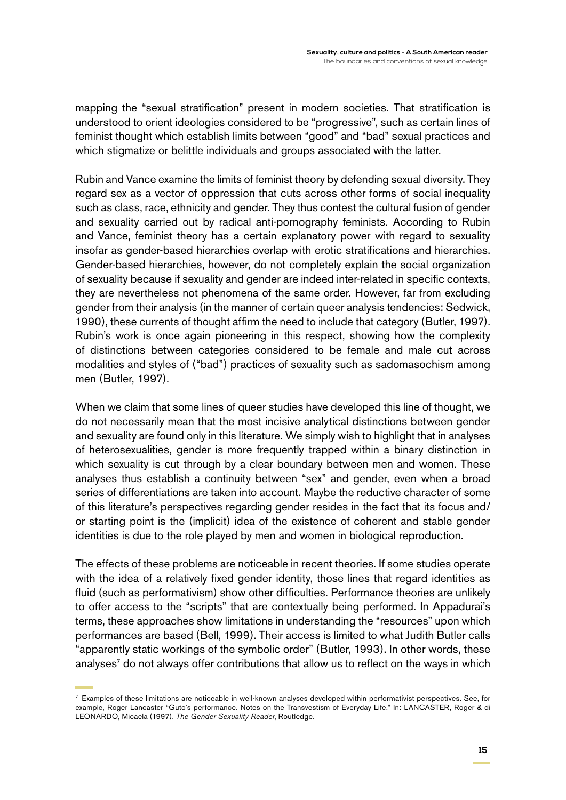mapping the "sexual stratification" present in modern societies. That stratification is understood to orient ideologies considered to be "progressive", such as certain lines of feminist thought which establish limits between "good" and "bad" sexual practices and which stigmatize or belittle individuals and groups associated with the latter.

Rubin and Vance examine the limits of feminist theory by defending sexual diversity. They regard sex as a vector of oppression that cuts across other forms of social inequality such as class, race, ethnicity and gender. They thus contest the cultural fusion of gender and sexuality carried out by radical anti-pornography feminists. According to Rubin and Vance, feminist theory has a certain explanatory power with regard to sexuality insofar as gender-based hierarchies overlap with erotic stratifications and hierarchies. Gender-based hierarchies, however, do not completely explain the social organization of sexuality because if sexuality and gender are indeed inter-related in specific contexts, they are nevertheless not phenomena of the same order. However, far from excluding gender from their analysis (in the manner of certain queer analysis tendencies: Sedwick, 1990), these currents of thought affirm the need to include that category (Butler, 1997). Rubin's work is once again pioneering in this respect, showing how the complexity of distinctions between categories considered to be female and male cut across modalities and styles of ("bad") practices of sexuality such as sadomasochism among men (Butler, 1997).

When we claim that some lines of queer studies have developed this line of thought, we do not necessarily mean that the most incisive analytical distinctions between gender and sexuality are found only in this literature. We simply wish to highlight that in analyses of heterosexualities, gender is more frequently trapped within a binary distinction in which sexuality is cut through by a clear boundary between men and women. These analyses thus establish a continuity between "sex" and gender, even when a broad series of differentiations are taken into account. Maybe the reductive character of some of this literature's perspectives regarding gender resides in the fact that its focus and/ or starting point is the (implicit) idea of the existence of coherent and stable gender identities is due to the role played by men and women in biological reproduction.

The effects of these problems are noticeable in recent theories. If some studies operate with the idea of a relatively fixed gender identity, those lines that regard identities as fluid (such as performativism) show other difficulties. Performance theories are unlikely to offer access to the "scripts" that are contextually being performed. In Appadurai's terms, these approaches show limitations in understanding the "resources" upon which performances are based (Bell, 1999). Their access is limited to what Judith Butler calls "apparently static workings of the symbolic order" (Butler, 1993). In other words, these analyses<sup>7</sup> do not always offer contributions that allow us to reflect on the ways in which

 $<sup>7</sup>$  Examples of these limitations are noticeable in well-known analyses developed within performativist perspectives. See, for</sup> example, Roger Lancaster "Guto´s performance. Notes on the Transvestism of Everyday Life." In: LANCASTER, Roger & di LEONARDO, Micaela (1997). *The Gender Sexuality Reader*, Routledge.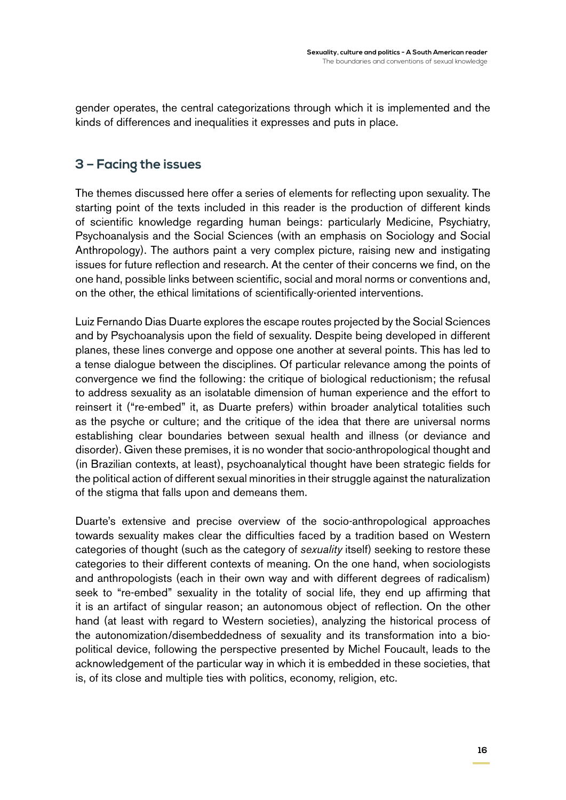gender operates, the central categorizations through which it is implemented and the kinds of differences and inequalities it expresses and puts in place.

#### **3 – Facing the issues**

The themes discussed here offer a series of elements for reflecting upon sexuality. The starting point of the texts included in this reader is the production of different kinds of scientific knowledge regarding human beings: particularly Medicine, Psychiatry, Psychoanalysis and the Social Sciences (with an emphasis on Sociology and Social Anthropology). The authors paint a very complex picture, raising new and instigating issues for future reflection and research. At the center of their concerns we find, on the one hand, possible links between scientific, social and moral norms or conventions and, on the other, the ethical limitations of scientifically-oriented interventions.

Luiz Fernando Dias Duarte explores the escape routes projected by the Social Sciences and by Psychoanalysis upon the field of sexuality. Despite being developed in different planes, these lines converge and oppose one another at several points. This has led to a tense dialogue between the disciplines. Of particular relevance among the points of convergence we find the following: the critique of biological reductionism; the refusal to address sexuality as an isolatable dimension of human experience and the effort to reinsert it ("re-embed" it, as Duarte prefers) within broader analytical totalities such as the psyche or culture; and the critique of the idea that there are universal norms establishing clear boundaries between sexual health and illness (or deviance and disorder). Given these premises, it is no wonder that socio-anthropological thought and (in Brazilian contexts, at least), psychoanalytical thought have been strategic fields for the political action of different sexual minorities in their struggle against the naturalization of the stigma that falls upon and demeans them.

Duarte's extensive and precise overview of the socio-anthropological approaches towards sexuality makes clear the difficulties faced by a tradition based on Western categories of thought (such as the category of *sexuality* itself) seeking to restore these categories to their different contexts of meaning. On the one hand, when sociologists and anthropologists (each in their own way and with different degrees of radicalism) seek to "re-embed" sexuality in the totality of social life, they end up affirming that it is an artifact of singular reason; an autonomous object of reflection. On the other hand (at least with regard to Western societies), analyzing the historical process of the autonomization/disembeddedness of sexuality and its transformation into a biopolitical device, following the perspective presented by Michel Foucault, leads to the acknowledgement of the particular way in which it is embedded in these societies, that is, of its close and multiple ties with politics, economy, religion, etc.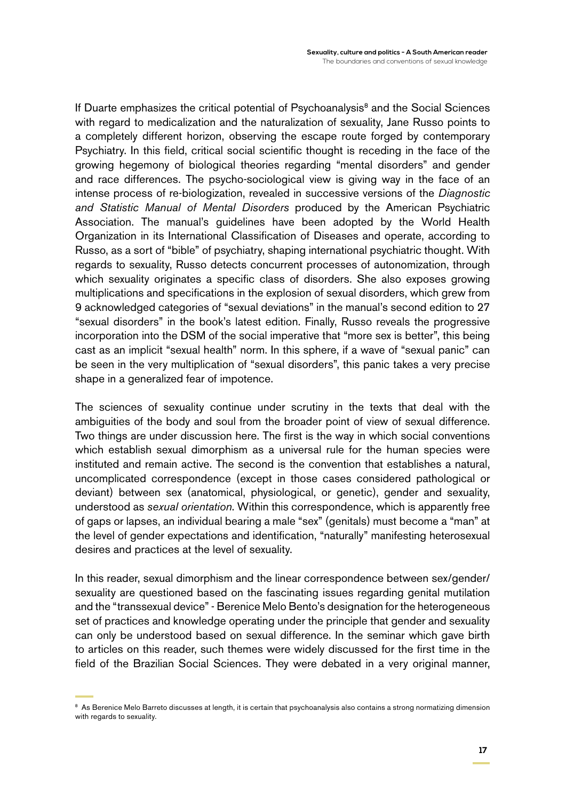If Duarte emphasizes the critical potential of Psychoanalysis $<sup>8</sup>$  and the Social Sciences</sup> with regard to medicalization and the naturalization of sexuality, Jane Russo points to a completely different horizon, observing the escape route forged by contemporary Psychiatry. In this field, critical social scientific thought is receding in the face of the growing hegemony of biological theories regarding "mental disorders" and gender and race differences. The psycho-sociological view is giving way in the face of an intense process of re-biologization, revealed in successive versions of the *Diagnostic and Statistic Manual of Mental Disorders* produced by the American Psychiatric Association. The manual's guidelines have been adopted by the World Health Organization in its International Classification of Diseases and operate, according to Russo, as a sort of "bible" of psychiatry, shaping international psychiatric thought. With regards to sexuality, Russo detects concurrent processes of autonomization, through which sexuality originates a specific class of disorders. She also exposes growing multiplications and specifications in the explosion of sexual disorders, which grew from 9 acknowledged categories of "sexual deviations" in the manual's second edition to 27 "sexual disorders" in the book's latest edition. Finally, Russo reveals the progressive incorporation into the DSM of the social imperative that "more sex is better", this being cast as an implicit "sexual health" norm. In this sphere, if a wave of "sexual panic" can be seen in the very multiplication of "sexual disorders", this panic takes a very precise shape in a generalized fear of impotence.

The sciences of sexuality continue under scrutiny in the texts that deal with the ambiguities of the body and soul from the broader point of view of sexual difference. Two things are under discussion here. The first is the way in which social conventions which establish sexual dimorphism as a universal rule for the human species were instituted and remain active. The second is the convention that establishes a natural, uncomplicated correspondence (except in those cases considered pathological or deviant) between sex (anatomical, physiological, or genetic), gender and sexuality, understood as *sexual orientation*. Within this correspondence, which is apparently free of gaps or lapses, an individual bearing a male "sex" (genitals) must become a "man" at the level of gender expectations and identification, "naturally" manifesting heterosexual desires and practices at the level of sexuality.

In this reader, sexual dimorphism and the linear correspondence between sex/gender/ sexuality are questioned based on the fascinating issues regarding genital mutilation and the "transsexual device" - Berenice Melo Bento's designation for the heterogeneous set of practices and knowledge operating under the principle that gender and sexuality can only be understood based on sexual difference. In the seminar which gave birth to articles on this reader, such themes were widely discussed for the first time in the field of the Brazilian Social Sciences. They were debated in a very original manner,

<sup>&</sup>lt;sup>8</sup> As Berenice Melo Barreto discusses at length, it is certain that psychoanalysis also contains a strong normatizing dimension with regards to sexuality.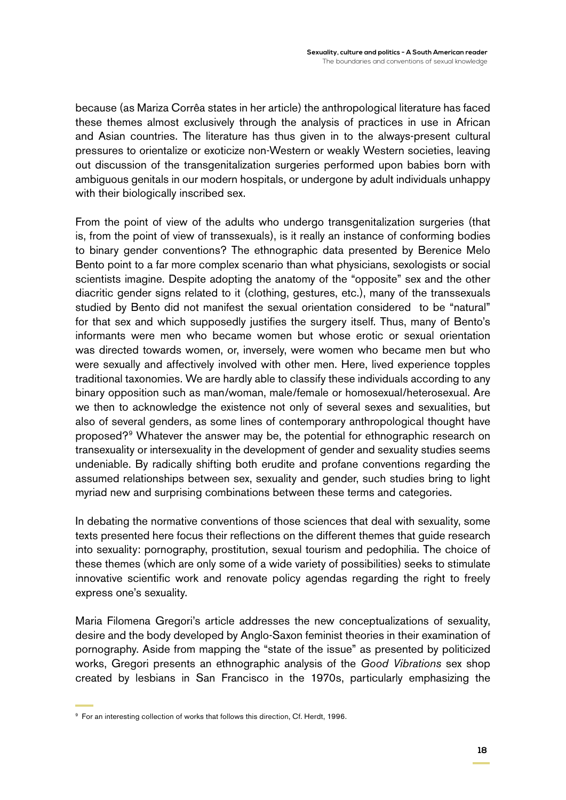because (as Mariza Corrêa states in her article) the anthropological literature has faced these themes almost exclusively through the analysis of practices in use in African and Asian countries. The literature has thus given in to the always-present cultural pressures to orientalize or exoticize non-Western or weakly Western societies, leaving out discussion of the transgenitalization surgeries performed upon babies born with ambiguous genitals in our modern hospitals, or undergone by adult individuals unhappy with their biologically inscribed sex.

From the point of view of the adults who undergo transgenitalization surgeries (that is, from the point of view of transsexuals), is it really an instance of conforming bodies to binary gender conventions? The ethnographic data presented by Berenice Melo Bento point to a far more complex scenario than what physicians, sexologists or social scientists imagine. Despite adopting the anatomy of the "opposite" sex and the other diacritic gender signs related to it (clothing, gestures, etc.), many of the transsexuals studied by Bento did not manifest the sexual orientation considered to be "natural" for that sex and which supposedly justifies the surgery itself. Thus, many of Bento's informants were men who became women but whose erotic or sexual orientation was directed towards women, or, inversely, were women who became men but who were sexually and affectively involved with other men. Here, lived experience topples traditional taxonomies. We are hardly able to classify these individuals according to any binary opposition such as man/woman, male/female or homosexual/heterosexual. Are we then to acknowledge the existence not only of several sexes and sexualities, but also of several genders, as some lines of contemporary anthropological thought have proposed?9 Whatever the answer may be, the potential for ethnographic research on transexuality or intersexuality in the development of gender and sexuality studies seems undeniable. By radically shifting both erudite and profane conventions regarding the assumed relationships between sex, sexuality and gender, such studies bring to light myriad new and surprising combinations between these terms and categories.

In debating the normative conventions of those sciences that deal with sexuality, some texts presented here focus their reflections on the different themes that guide research into sexuality: pornography, prostitution, sexual tourism and pedophilia. The choice of these themes (which are only some of a wide variety of possibilities) seeks to stimulate innovative scientific work and renovate policy agendas regarding the right to freely express one's sexuality.

Maria Filomena Gregori's article addresses the new conceptualizations of sexuality, desire and the body developed by Anglo-Saxon feminist theories in their examination of pornography. Aside from mapping the "state of the issue" as presented by politicized works, Gregori presents an ethnographic analysis of the *Good Vibrations* sex shop created by lesbians in San Francisco in the 1970s, particularly emphasizing the

<sup>9</sup> For an interesting collection of works that follows this direction, Cf. Herdt, 1996.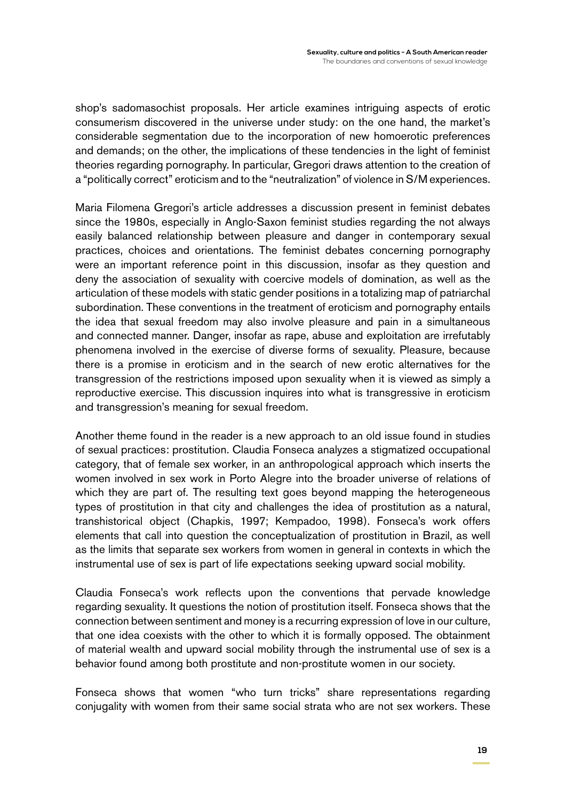shop's sadomasochist proposals. Her article examines intriguing aspects of erotic consumerism discovered in the universe under study: on the one hand, the market's considerable segmentation due to the incorporation of new homoerotic preferences and demands; on the other, the implications of these tendencies in the light of feminist theories regarding pornography. In particular, Gregori draws attention to the creation of a "politically correct" eroticism and to the "neutralization" of violence in S/M experiences.

Maria Filomena Gregori's article addresses a discussion present in feminist debates since the 1980s, especially in Anglo-Saxon feminist studies regarding the not always easily balanced relationship between pleasure and danger in contemporary sexual practices, choices and orientations. The feminist debates concerning pornography were an important reference point in this discussion, insofar as they question and deny the association of sexuality with coercive models of domination, as well as the articulation of these models with static gender positions in a totalizing map of patriarchal subordination. These conventions in the treatment of eroticism and pornography entails the idea that sexual freedom may also involve pleasure and pain in a simultaneous and connected manner. Danger, insofar as rape, abuse and exploitation are irrefutably phenomena involved in the exercise of diverse forms of sexuality. Pleasure, because there is a promise in eroticism and in the search of new erotic alternatives for the transgression of the restrictions imposed upon sexuality when it is viewed as simply a reproductive exercise. This discussion inquires into what is transgressive in eroticism and transgression's meaning for sexual freedom.

Another theme found in the reader is a new approach to an old issue found in studies of sexual practices: prostitution. Claudia Fonseca analyzes a stigmatized occupational category, that of female sex worker, in an anthropological approach which inserts the women involved in sex work in Porto Alegre into the broader universe of relations of which they are part of. The resulting text goes beyond mapping the heterogeneous types of prostitution in that city and challenges the idea of prostitution as a natural, transhistorical object (Chapkis, 1997; Kempadoo, 1998). Fonseca's work offers elements that call into question the conceptualization of prostitution in Brazil, as well as the limits that separate sex workers from women in general in contexts in which the instrumental use of sex is part of life expectations seeking upward social mobility.

Claudia Fonseca's work reflects upon the conventions that pervade knowledge regarding sexuality. It questions the notion of prostitution itself. Fonseca shows that the connection between sentiment and money is a recurring expression of love in our culture, that one idea coexists with the other to which it is formally opposed. The obtainment of material wealth and upward social mobility through the instrumental use of sex is a behavior found among both prostitute and non-prostitute women in our society.

Fonseca shows that women "who turn tricks" share representations regarding conjugality with women from their same social strata who are not sex workers. These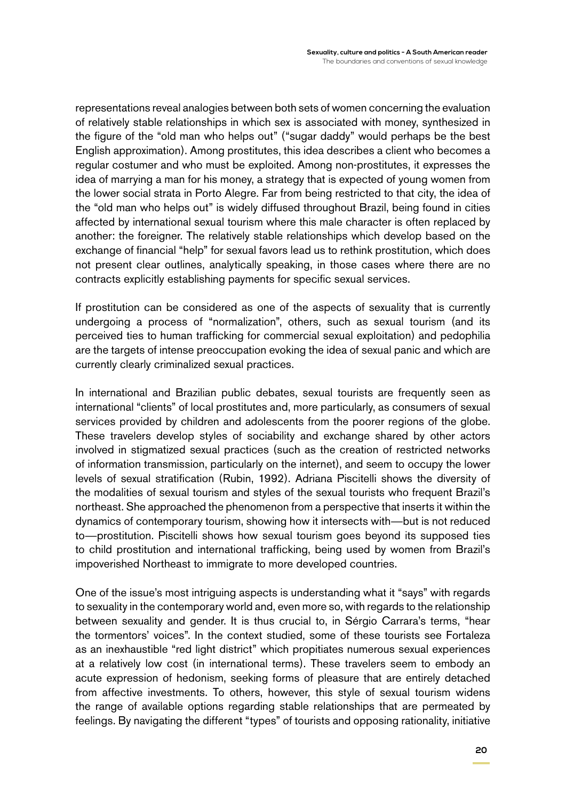representations reveal analogies between both sets of women concerning the evaluation of relatively stable relationships in which sex is associated with money, synthesized in the figure of the "old man who helps out" ("sugar daddy" would perhaps be the best English approximation). Among prostitutes, this idea describes a client who becomes a regular costumer and who must be exploited. Among non-prostitutes, it expresses the idea of marrying a man for his money, a strategy that is expected of young women from the lower social strata in Porto Alegre. Far from being restricted to that city, the idea of the "old man who helps out" is widely diffused throughout Brazil, being found in cities affected by international sexual tourism where this male character is often replaced by another: the foreigner. The relatively stable relationships which develop based on the exchange of financial "help" for sexual favors lead us to rethink prostitution, which does not present clear outlines, analytically speaking, in those cases where there are no contracts explicitly establishing payments for specific sexual services.

If prostitution can be considered as one of the aspects of sexuality that is currently undergoing a process of "normalization", others, such as sexual tourism (and its perceived ties to human trafficking for commercial sexual exploitation) and pedophilia are the targets of intense preoccupation evoking the idea of sexual panic and which are currently clearly criminalized sexual practices.

In international and Brazilian public debates, sexual tourists are frequently seen as international "clients" of local prostitutes and, more particularly, as consumers of sexual services provided by children and adolescents from the poorer regions of the globe. These travelers develop styles of sociability and exchange shared by other actors involved in stigmatized sexual practices (such as the creation of restricted networks of information transmission, particularly on the internet), and seem to occupy the lower levels of sexual stratification (Rubin, 1992). Adriana Piscitelli shows the diversity of the modalities of sexual tourism and styles of the sexual tourists who frequent Brazil's northeast. She approached the phenomenon from a perspective that inserts it within the dynamics of contemporary tourism, showing how it intersects with—but is not reduced to—prostitution. Piscitelli shows how sexual tourism goes beyond its supposed ties to child prostitution and international trafficking, being used by women from Brazil's impoverished Northeast to immigrate to more developed countries.

One of the issue's most intriguing aspects is understanding what it "says" with regards to sexuality in the contemporary world and, even more so, with regards to the relationship between sexuality and gender. It is thus crucial to, in Sérgio Carrara's terms, "hear the tormentors' voices". In the context studied, some of these tourists see Fortaleza as an inexhaustible "red light district" which propitiates numerous sexual experiences at a relatively low cost (in international terms). These travelers seem to embody an acute expression of hedonism, seeking forms of pleasure that are entirely detached from affective investments. To others, however, this style of sexual tourism widens the range of available options regarding stable relationships that are permeated by feelings. By navigating the different "types" of tourists and opposing rationality, initiative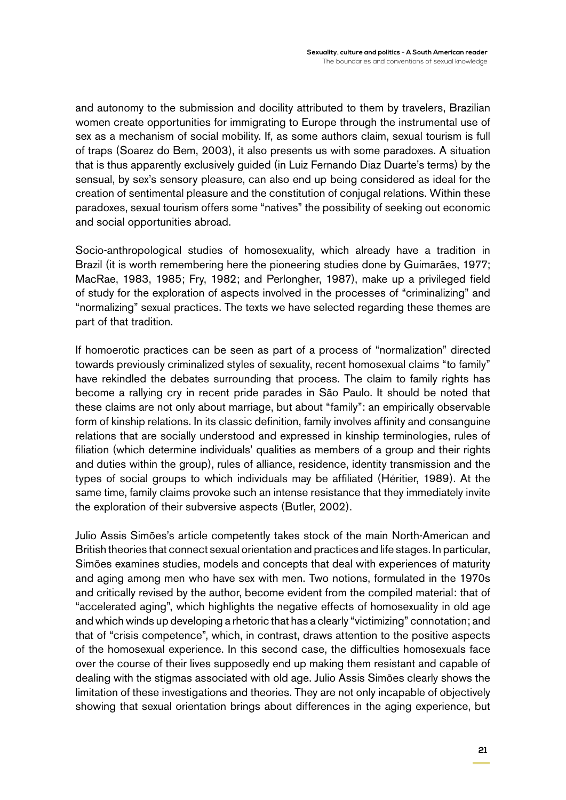and autonomy to the submission and docility attributed to them by travelers, Brazilian women create opportunities for immigrating to Europe through the instrumental use of sex as a mechanism of social mobility. If, as some authors claim, sexual tourism is full of traps (Soarez do Bem, 2003), it also presents us with some paradoxes. A situation that is thus apparently exclusively guided (in Luiz Fernando Diaz Duarte's terms) by the sensual, by sex's sensory pleasure, can also end up being considered as ideal for the creation of sentimental pleasure and the constitution of conjugal relations. Within these paradoxes, sexual tourism offers some "natives" the possibility of seeking out economic and social opportunities abroad.

Socio-anthropological studies of homosexuality, which already have a tradition in Brazil (it is worth remembering here the pioneering studies done by Guimarães, 1977; MacRae, 1983, 1985; Fry, 1982; and Perlongher, 1987), make up a privileged field of study for the exploration of aspects involved in the processes of "criminalizing" and "normalizing" sexual practices. The texts we have selected regarding these themes are part of that tradition.

If homoerotic practices can be seen as part of a process of "normalization" directed towards previously criminalized styles of sexuality, recent homosexual claims "to family" have rekindled the debates surrounding that process. The claim to family rights has become a rallying cry in recent pride parades in São Paulo. It should be noted that these claims are not only about marriage, but about "family": an empirically observable form of kinship relations. In its classic definition, family involves affinity and consanguine relations that are socially understood and expressed in kinship terminologies, rules of filiation (which determine individuals' qualities as members of a group and their rights and duties within the group), rules of alliance, residence, identity transmission and the types of social groups to which individuals may be affiliated (Héritier, 1989). At the same time, family claims provoke such an intense resistance that they immediately invite the exploration of their subversive aspects (Butler, 2002).

Julio Assis Simões's article competently takes stock of the main North-American and British theories that connect sexual orientation and practices and life stages. In particular, Simões examines studies, models and concepts that deal with experiences of maturity and aging among men who have sex with men. Two notions, formulated in the 1970s and critically revised by the author, become evident from the compiled material: that of "accelerated aging", which highlights the negative effects of homosexuality in old age and which winds up developing a rhetoric that has a clearly "victimizing" connotation; and that of "crisis competence", which, in contrast, draws attention to the positive aspects of the homosexual experience. In this second case, the difficulties homosexuals face over the course of their lives supposedly end up making them resistant and capable of dealing with the stigmas associated with old age. Julio Assis Simões clearly shows the limitation of these investigations and theories. They are not only incapable of objectively showing that sexual orientation brings about differences in the aging experience, but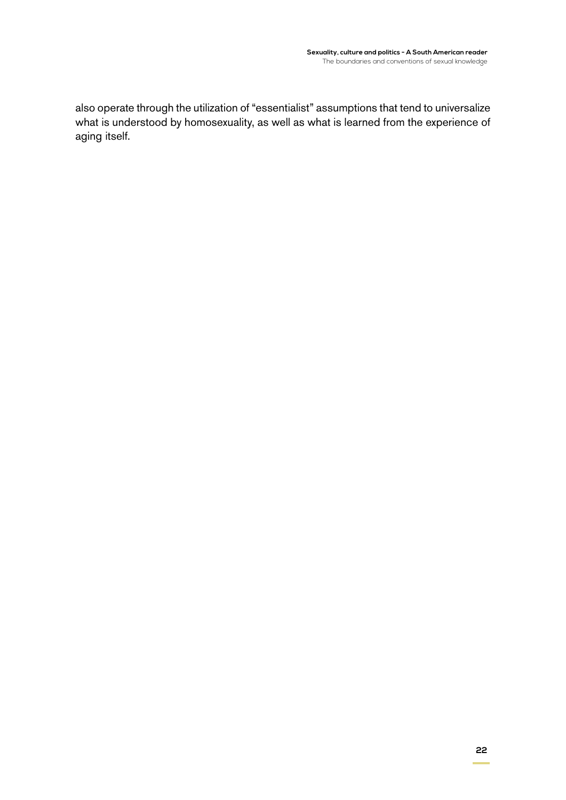also operate through the utilization of "essentialist" assumptions that tend to universalize what is understood by homosexuality, as well as what is learned from the experience of aging itself.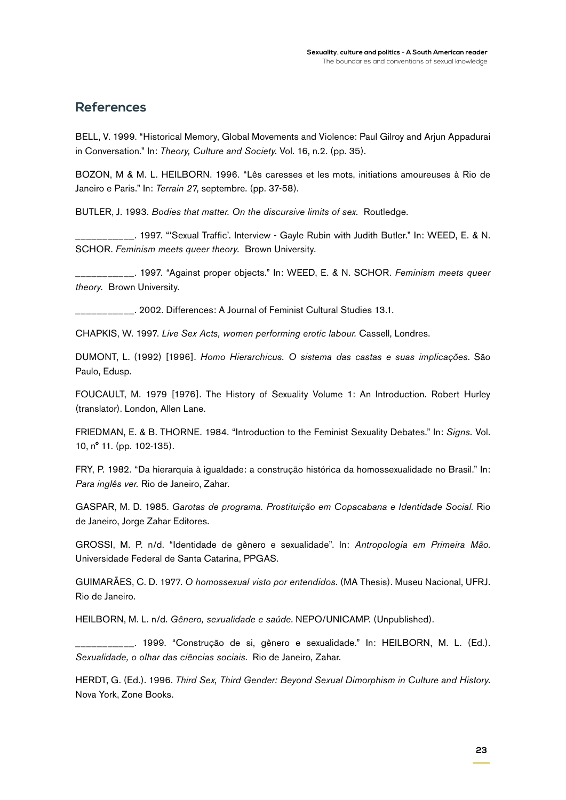#### **References**

BELL, V. 1999. "Historical Memory, Global Movements and Violence: Paul Gilroy and Arjun Appadurai in Conversation." In: *Theory, Culture and Society.* Vol. 16, n.2. (pp. 35).

BOZON, M & M. L. HEILBORN. 1996. "Lês caresses et les mots, initiations amoureuses à Rio de Janeiro e Paris." In: *Terrain 27*, septembre. (pp. 37-58).

BUTLER, J. 1993. *Bodies that matter. On the discursive limits of sex.* Routledge.

\_\_\_\_\_\_\_\_\_\_\_. 1997. "'Sexual Traffic'. Interview - Gayle Rubin with Judith Butler." In: WEED, E. & N. SCHOR. *Feminism meets queer theory.* Brown University.

\_\_\_\_\_\_\_\_\_\_\_. 1997. "Against proper objects." In: WEED, E. & N. SCHOR. *Feminism meets queer theory.* Brown University.

**\_\_\_.** 2002. Differences: A Journal of Feminist Cultural Studies 13.1.

CHAPKIS, W. 1997. *Live Sex Acts, women performing erotic labour.* Cassell, Londres.

DUMONT, L. (1992) [1996]. *Homo Hierarchicus. O sistema das castas e suas implicações*. São Paulo, Edusp.

FOUCAULT, M. 1979 [1976]. The History of Sexuality Volume 1: An Introduction. Robert Hurley (translator). London, Allen Lane.

FRIEDMAN, E. & B. THORNE. 1984. "Introduction to the Feminist Sexuality Debates." In: *Signs.* Vol. 10, n° 11. (pp. 102-135).

FRY, P. 1982. "Da hierarquia à igualdade: a construção histórica da homossexualidade no Brasil." In: *Para inglês ver.* Rio de Janeiro, Zahar.

GASPAR, M. D. 1985. *Garotas de programa. Prostituição em Copacabana e Identidade Social.* Rio de Janeiro, Jorge Zahar Editores.

GROSSI, M. P. n/d. "Identidade de gênero e sexualidade". In: *Antropologia em Primeira Mão*. Universidade Federal de Santa Catarina, PPGAS.

GUIMARÃES, C. D. 1977. *O homossexual visto por entendidos.* (MA Thesis). Museu Nacional, UFRJ. Rio de Janeiro.

HEILBORN, M. L. n/d. *Gênero, sexualidade e saúde*. NEPO/UNICAMP. (Unpublished).

\_\_\_\_\_\_\_\_\_\_\_. 1999. "Construção de si, gênero e sexualidade." In: HEILBORN, M. L. (Ed.). *Sexualidade, o olhar das ciências sociais*. Rio de Janeiro, Zahar.

HERDT, G. (Ed.). 1996. *Third Sex, Third Gender: Beyond Sexual Dimorphism in Culture and History*. Nova York, Zone Books.